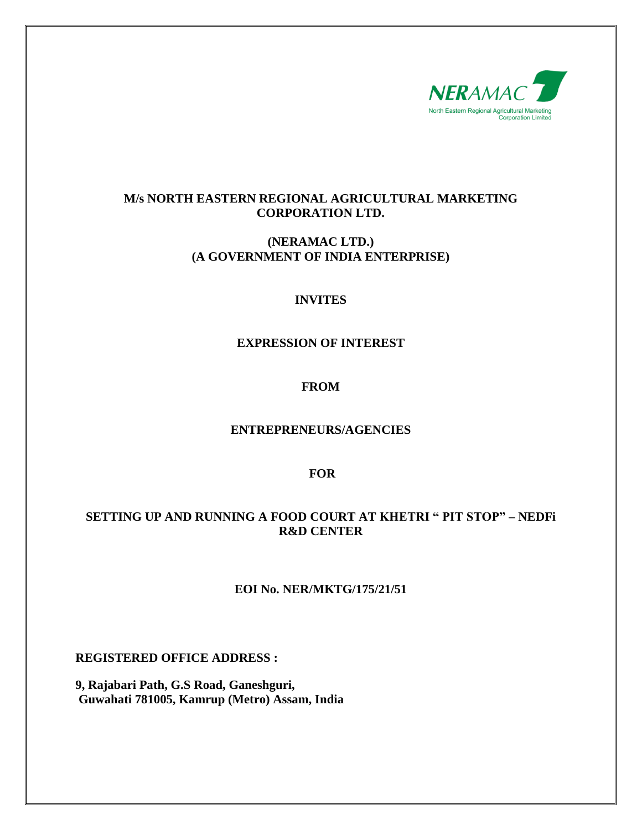

## **M/s NORTH EASTERN REGIONAL AGRICULTURAL MARKETING CORPORATION LTD.**

## **(NERAMAC LTD.) (A GOVERNMENT OF INDIA ENTERPRISE)**

## **INVITES**

## **EXPRESSION OF INTEREST**

# **FROM**

## **ENTREPRENEURS/AGENCIES**

#### **FOR**

## **SETTING UP AND RUNNING A FOOD COURT AT KHETRI " PIT STOP" – NEDFi R&D CENTER**

## **EOI No. NER/MKTG/175/21/51**

**REGISTERED OFFICE ADDRESS :**

**9, Rajabari Path, G.S Road, Ganeshguri, Guwahati 781005, Kamrup (Metro) Assam, India**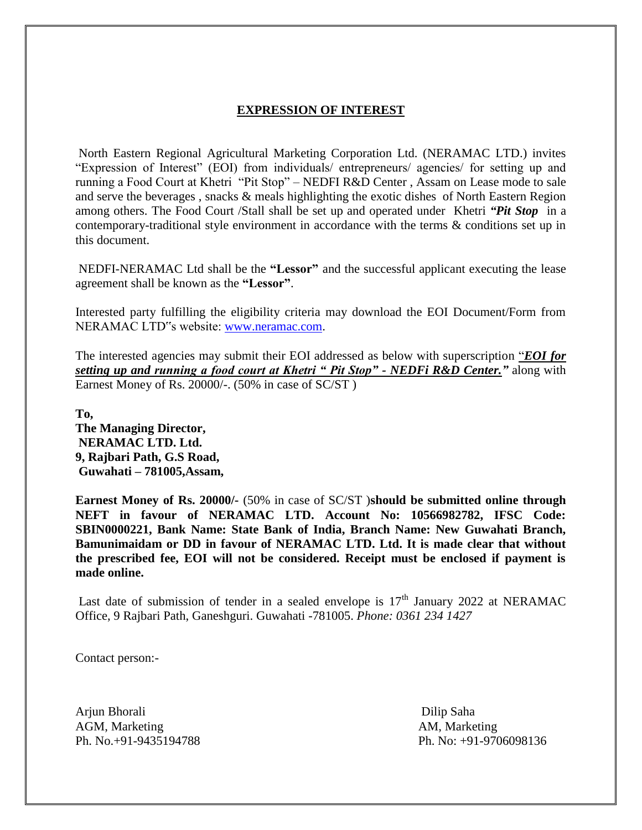# **EXPRESSION OF INTEREST**

North Eastern Regional Agricultural Marketing Corporation Ltd. (NERAMAC LTD.) invites "Expression of Interest" (EOI) from individuals/ entrepreneurs/ agencies/ for setting up and running a Food Court at Khetri "Pit Stop" – NEDFI R&D Center , Assam on Lease mode to sale and serve the beverages , snacks & meals highlighting the exotic dishes of North Eastern Region among others. The Food Court /Stall shall be set up and operated under Khetri *"Pit Stop* in a contemporary-traditional style environment in accordance with the terms & conditions set up in this document.

NEDFI-NERAMAC Ltd shall be the **"Lessor"** and the successful applicant executing the lease agreement shall be known as the **"Lessor"**.

Interested party fulfilling the eligibility criteria may download the EOI Document/Form from NERAMAC LTD"s website: [www.neramac.com.](http://www.neramac.com/)

The interested agencies may submit their EOI addressed as below with superscription "*EOI for setting up and running a food court at Khetri " Pit Stop" - NEDFi R&D Center."* along with Earnest Money of Rs. 20000/-. (50% in case of SC/ST )

**To, The Managing Director, NERAMAC LTD. Ltd. 9, Rajbari Path, G.S Road, Guwahati – 781005,Assam,** 

**Earnest Money of Rs. 20000/-** (50% in case of SC/ST )**should be submitted online through NEFT in favour of NERAMAC LTD. Account No: 10566982782, IFSC Code: SBIN0000221, Bank Name: State Bank of India, Branch Name: New Guwahati Branch, Bamunimaidam or DD in favour of NERAMAC LTD. Ltd. It is made clear that without the prescribed fee, EOI will not be considered. Receipt must be enclosed if payment is made online.**

Last date of submission of tender in a sealed envelope is  $17<sup>th</sup>$  January 2022 at NERAMAC Office, 9 Rajbari Path, Ganeshguri. Guwahati -781005. *[Phone:](https://www.google.com/search?sxsrf=AOaemvIrYs_jy3Aml7nLKX56xRtZ81mb2A:1641815496735&q=neramac+phone&ludocid=9109862079005351258&sa=X&ved=2ahUKEwjUneCrj6f1AhVTSWwGHfIRDj4Q6BN6BAhCEAI) [0361 234 1427](https://www.google.com/search?q=neramac&oq=NERAMAC&aqs=chrome.0.35i39i355j46i39i175i199j0i512l8.1883j0j15&sourceid=chrome&ie=UTF-8)*

Contact person:-

Arjun Bhorali Dilip Saha AGM, Marketing AM, Marketing

Ph. No.+91-9435194788 Ph. No: +91-9706098136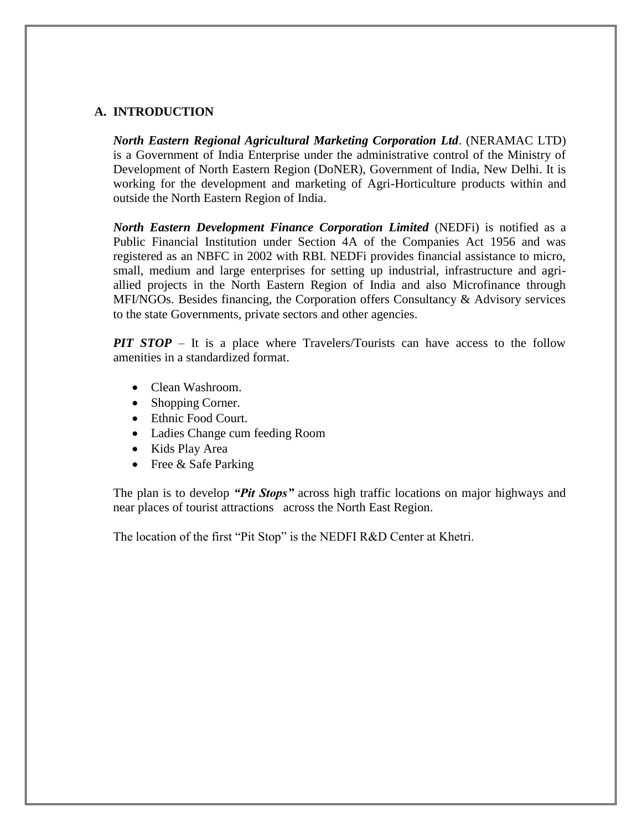#### **A. INTRODUCTION**

*North Eastern Regional Agricultural Marketing Corporation Ltd*. (NERAMAC LTD) is a Government of India Enterprise under the administrative control of the Ministry of Development of North Eastern Region (DoNER), Government of India, New Delhi. It is working for the development and marketing of Agri-Horticulture products within and outside the North Eastern Region of India.

*North Eastern Development Finance Corporation Limited* (NEDFi) is notified as a Public Financial Institution under Section 4A of the Companies Act 1956 and was registered as an NBFC in 2002 with RBI. NEDFi provides financial assistance to micro, small, medium and large enterprises for setting up industrial, infrastructure and agriallied projects in the North Eastern Region of India and also Microfinance through MFI/NGOs. Besides financing, the Corporation offers Consultancy & Advisory services to the state Governments, private sectors and other agencies.

*PIT STOP* – It is a place where Travelers/Tourists can have access to the follow amenities in a standardized format.

- Clean Washroom.
- Shopping Corner.
- Ethnic Food Court.
- Ladies Change cum feeding Room
- Kids Play Area
- Free  $&$  Safe Parking

The plan is to develop *"Pit Stops"* across high traffic locations on major highways and near places of tourist attractions across the North East Region.

The location of the first "Pit Stop" is the NEDFI R&D Center at Khetri.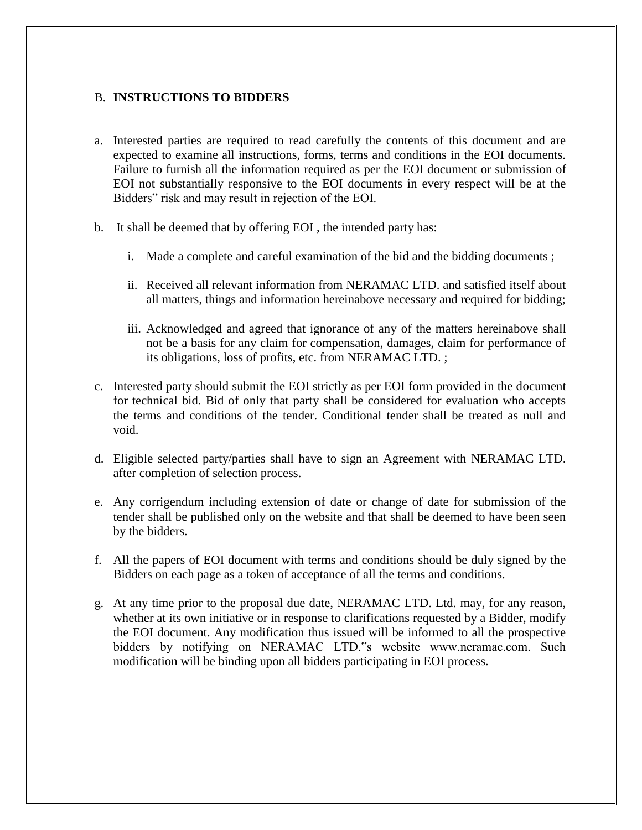## B. **INSTRUCTIONS TO BIDDERS**

- a. Interested parties are required to read carefully the contents of this document and are expected to examine all instructions, forms, terms and conditions in the EOI documents. Failure to furnish all the information required as per the EOI document or submission of EOI not substantially responsive to the EOI documents in every respect will be at the Bidders" risk and may result in rejection of the EOI.
- b. It shall be deemed that by offering EOI , the intended party has:
	- i. Made a complete and careful examination of the bid and the bidding documents ;
	- ii. Received all relevant information from NERAMAC LTD. and satisfied itself about all matters, things and information hereinabove necessary and required for bidding;
	- iii. Acknowledged and agreed that ignorance of any of the matters hereinabove shall not be a basis for any claim for compensation, damages, claim for performance of its obligations, loss of profits, etc. from NERAMAC LTD. ;
- c. Interested party should submit the EOI strictly as per EOI form provided in the document for technical bid. Bid of only that party shall be considered for evaluation who accepts the terms and conditions of the tender. Conditional tender shall be treated as null and void.
- d. Eligible selected party/parties shall have to sign an Agreement with NERAMAC LTD. after completion of selection process.
- e. Any corrigendum including extension of date or change of date for submission of the tender shall be published only on the website and that shall be deemed to have been seen by the bidders.
- f. All the papers of EOI document with terms and conditions should be duly signed by the Bidders on each page as a token of acceptance of all the terms and conditions.
- g. At any time prior to the proposal due date, NERAMAC LTD. Ltd. may, for any reason, whether at its own initiative or in response to clarifications requested by a Bidder, modify the EOI document. Any modification thus issued will be informed to all the prospective bidders by notifying on NERAMAC LTD."s website www.neramac.com. Such modification will be binding upon all bidders participating in EOI process.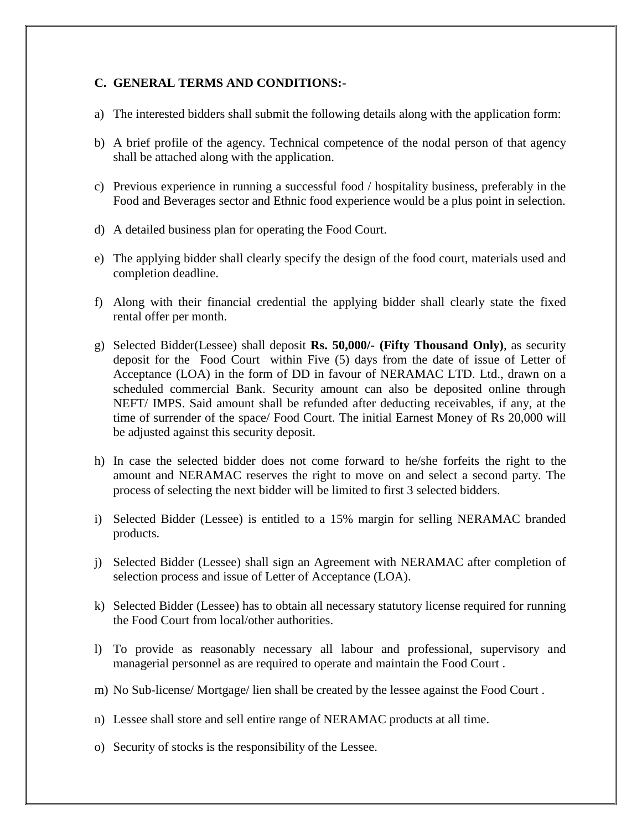#### **C. GENERAL TERMS AND CONDITIONS:-**

- a) The interested bidders shall submit the following details along with the application form:
- b) A brief profile of the agency. Technical competence of the nodal person of that agency shall be attached along with the application.
- c) Previous experience in running a successful food / hospitality business, preferably in the Food and Beverages sector and Ethnic food experience would be a plus point in selection.
- d) A detailed business plan for operating the Food Court.
- e) The applying bidder shall clearly specify the design of the food court, materials used and completion deadline.
- f) Along with their financial credential the applying bidder shall clearly state the fixed rental offer per month.
- g) Selected Bidder(Lessee) shall deposit **Rs. 50,000/- (Fifty Thousand Only)**, as security deposit for the Food Court within Five (5) days from the date of issue of Letter of Acceptance (LOA) in the form of DD in favour of NERAMAC LTD. Ltd., drawn on a scheduled commercial Bank. Security amount can also be deposited online through NEFT/ IMPS. Said amount shall be refunded after deducting receivables, if any, at the time of surrender of the space/ Food Court. The initial Earnest Money of Rs 20,000 will be adjusted against this security deposit.
- h) In case the selected bidder does not come forward to he/she forfeits the right to the amount and NERAMAC reserves the right to move on and select a second party. The process of selecting the next bidder will be limited to first 3 selected bidders.
- i) Selected Bidder (Lessee) is entitled to a 15% margin for selling NERAMAC branded products.
- j) Selected Bidder (Lessee) shall sign an Agreement with NERAMAC after completion of selection process and issue of Letter of Acceptance (LOA).
- k) Selected Bidder (Lessee) has to obtain all necessary statutory license required for running the Food Court from local/other authorities.
- l) To provide as reasonably necessary all labour and professional, supervisory and managerial personnel as are required to operate and maintain the Food Court .
- m) No Sub-license/ Mortgage/ lien shall be created by the lessee against the Food Court .
- n) Lessee shall store and sell entire range of NERAMAC products at all time.
- o) Security of stocks is the responsibility of the Lessee.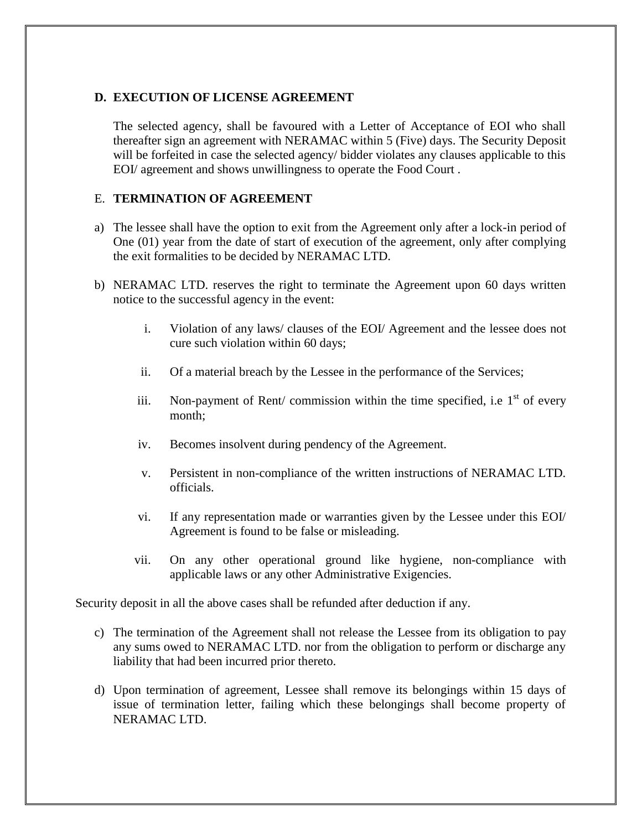#### **D. EXECUTION OF LICENSE AGREEMENT**

The selected agency, shall be favoured with a Letter of Acceptance of EOI who shall thereafter sign an agreement with NERAMAC within 5 (Five) days. The Security Deposit will be forfeited in case the selected agency/ bidder violates any clauses applicable to this EOI/ agreement and shows unwillingness to operate the Food Court .

#### E. **TERMINATION OF AGREEMENT**

- a) The lessee shall have the option to exit from the Agreement only after a lock-in period of One (01) year from the date of start of execution of the agreement, only after complying the exit formalities to be decided by NERAMAC LTD.
- b) NERAMAC LTD. reserves the right to terminate the Agreement upon 60 days written notice to the successful agency in the event:
	- i. Violation of any laws/ clauses of the EOI/ Agreement and the lessee does not cure such violation within 60 days;
	- ii. Of a material breach by the Lessee in the performance of the Services;
	- iii. Non-payment of Rent/ commission within the time specified, i.e.  $1<sup>st</sup>$  of every month;
	- iv. Becomes insolvent during pendency of the Agreement.
	- v. Persistent in non-compliance of the written instructions of NERAMAC LTD. officials.
	- vi. If any representation made or warranties given by the Lessee under this EOI/ Agreement is found to be false or misleading.
	- vii. On any other operational ground like hygiene, non-compliance with applicable laws or any other Administrative Exigencies.

Security deposit in all the above cases shall be refunded after deduction if any.

- c) The termination of the Agreement shall not release the Lessee from its obligation to pay any sums owed to NERAMAC LTD. nor from the obligation to perform or discharge any liability that had been incurred prior thereto.
- d) Upon termination of agreement, Lessee shall remove its belongings within 15 days of issue of termination letter, failing which these belongings shall become property of NERAMAC LTD.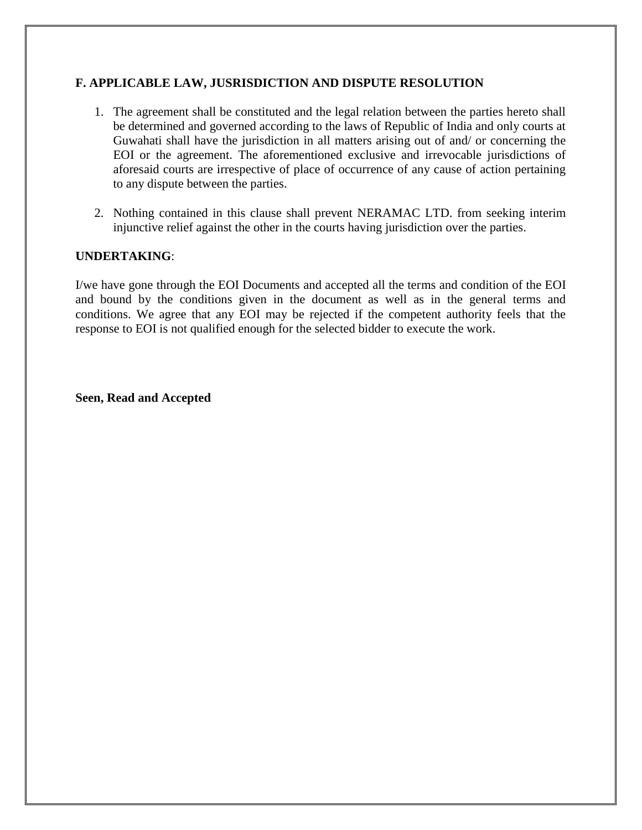## **F. APPLICABLE LAW, JUSRISDICTION AND DISPUTE RESOLUTION**

- 1. The agreement shall be constituted and the legal relation between the parties hereto shall be determined and governed according to the laws of Republic of India and only courts at Guwahati shall have the jurisdiction in all matters arising out of and/ or concerning the EOI or the agreement. The aforementioned exclusive and irrevocable jurisdictions of aforesaid courts are irrespective of place of occurrence of any cause of action pertaining to any dispute between the parties.
- 2. Nothing contained in this clause shall prevent NERAMAC LTD. from seeking interim injunctive relief against the other in the courts having jurisdiction over the parties.

#### **UNDERTAKING**:

I/we have gone through the EOI Documents and accepted all the terms and condition of the EOI and bound by the conditions given in the document as well as in the general terms and conditions. We agree that any EOI may be rejected if the competent authority feels that the response to EOI is not qualified enough for the selected bidder to execute the work.

**Seen, Read and Accepted**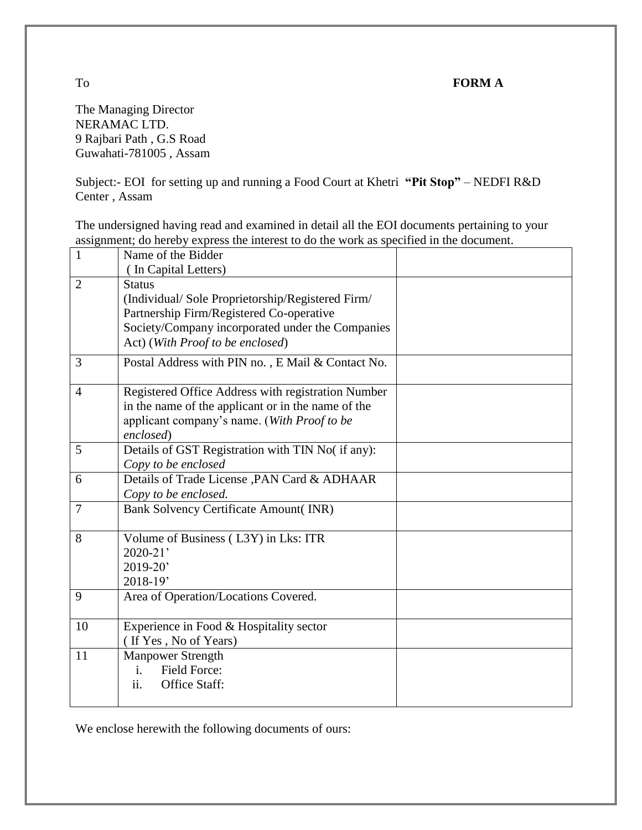# To **FORM A**

The Managing Director NERAMAC LTD. 9 Rajbari Path , G.S Road Guwahati-781005 , Assam

Subject:- EOI for setting up and running a Food Court at Khetri **"Pit Stop"** – NEDFI R&D Center , Assam

The undersigned having read and examined in detail all the EOI documents pertaining to your assignment; do hereby express the interest to do the work as specified in the document.

| $\mathbf{1}$   | Name of the Bidder                                                                                                                                                                                    |  |
|----------------|-------------------------------------------------------------------------------------------------------------------------------------------------------------------------------------------------------|--|
|                | (In Capital Letters)                                                                                                                                                                                  |  |
| $\overline{2}$ | <b>Status</b><br>(Individual/Sole Proprietorship/Registered Firm/<br>Partnership Firm/Registered Co-operative<br>Society/Company incorporated under the Companies<br>Act) (With Proof to be enclosed) |  |
| 3              | Postal Address with PIN no., E Mail & Contact No.                                                                                                                                                     |  |
| 4              | Registered Office Address with registration Number<br>in the name of the applicant or in the name of the<br>applicant company's name. (With Proof to be<br>enclosed)                                  |  |
| 5              | Details of GST Registration with TIN No( if any):<br>Copy to be enclosed                                                                                                                              |  |
| 6              | Details of Trade License , PAN Card & ADHAAR<br>Copy to be enclosed.                                                                                                                                  |  |
| 7              | <b>Bank Solvency Certificate Amount(INR)</b>                                                                                                                                                          |  |
| 8              | Volume of Business (L3Y) in Lks: ITR<br>$2020 - 21'$<br>2019-20'<br>2018-19'                                                                                                                          |  |
| 9              | Area of Operation/Locations Covered.                                                                                                                                                                  |  |
| 10             | Experience in Food & Hospitality sector<br>(If Yes, No of Years)                                                                                                                                      |  |
| 11             | <b>Manpower Strength</b><br><b>Field Force:</b><br>i.<br>ii.<br>Office Staff:                                                                                                                         |  |

We enclose herewith the following documents of ours: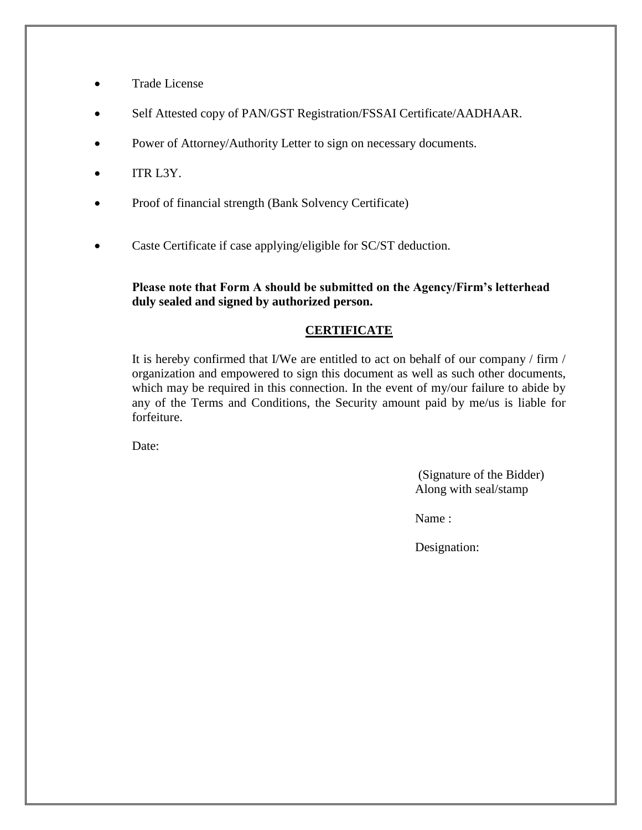- Trade License
- Self Attested copy of PAN/GST Registration/FSSAI Certificate/AADHAAR.
- Power of Attorney/Authority Letter to sign on necessary documents.
- ITR L3Y.
- Proof of financial strength (Bank Solvency Certificate)
- Caste Certificate if case applying/eligible for SC/ST deduction.

#### **Please note that Form A should be submitted on the Agency/Firm's letterhead duly sealed and signed by authorized person.**

#### **CERTIFICATE**

It is hereby confirmed that I/We are entitled to act on behalf of our company / firm / organization and empowered to sign this document as well as such other documents, which may be required in this connection. In the event of my/our failure to abide by any of the Terms and Conditions, the Security amount paid by me/us is liable for forfeiture.

Date:

(Signature of the Bidder) Along with seal/stamp

Name :

Designation: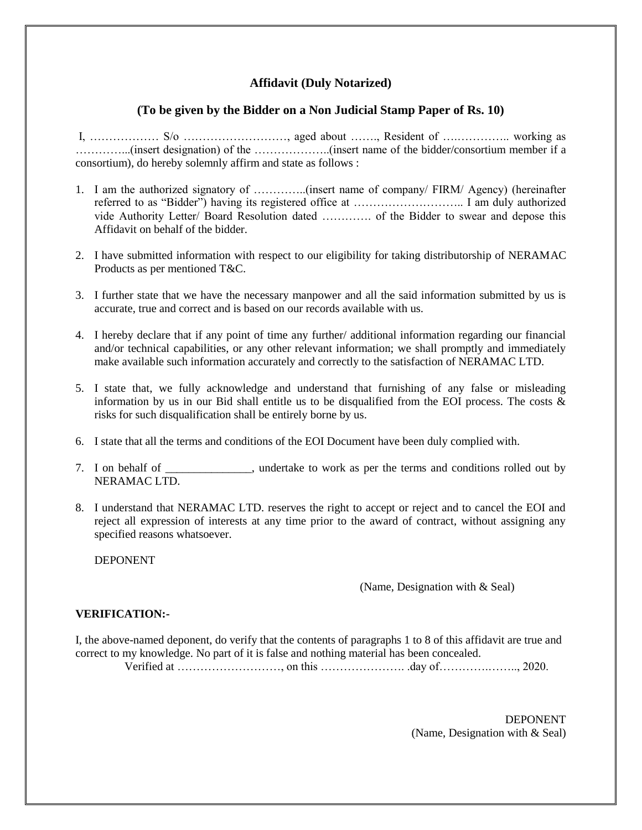## **Affidavit (Duly Notarized)**

#### **(To be given by the Bidder on a Non Judicial Stamp Paper of Rs. 10)**

I, ……………… S/o ………………………, aged about ……., Resident of ….………….. working as …………...(insert designation) of the ………………..(insert name of the bidder/consortium member if a consortium), do hereby solemnly affirm and state as follows :

- 1. I am the authorized signatory of …………..(insert name of company/ FIRM/ Agency) (hereinafter referred to as "Bidder") having its registered office at ……………………….. I am duly authorized vide Authority Letter/ Board Resolution dated …………. of the Bidder to swear and depose this Affidavit on behalf of the bidder.
- 2. I have submitted information with respect to our eligibility for taking distributorship of NERAMAC Products as per mentioned T&C.
- 3. I further state that we have the necessary manpower and all the said information submitted by us is accurate, true and correct and is based on our records available with us.
- 4. I hereby declare that if any point of time any further/ additional information regarding our financial and/or technical capabilities, or any other relevant information; we shall promptly and immediately make available such information accurately and correctly to the satisfaction of NERAMAC LTD.
- 5. I state that, we fully acknowledge and understand that furnishing of any false or misleading information by us in our Bid shall entitle us to be disqualified from the EOI process. The costs  $\&$ risks for such disqualification shall be entirely borne by us.
- 6. I state that all the terms and conditions of the EOI Document have been duly complied with.
- 7. I on behalf of \_\_\_\_\_\_\_\_\_\_\_\_\_\_\_, undertake to work as per the terms and conditions rolled out by NERAMAC LTD.
- 8. I understand that NERAMAC LTD. reserves the right to accept or reject and to cancel the EOI and reject all expression of interests at any time prior to the award of contract, without assigning any specified reasons whatsoever.

DEPONENT

#### (Name, Designation with & Seal)

#### **VERIFICATION:-**

I, the above-named deponent, do verify that the contents of paragraphs 1 to 8 of this affidavit are true and correct to my knowledge. No part of it is false and nothing material has been concealed. Verified at ………………………, on this …………………. .day of………….…….., 2020.

> DEPONENT (Name, Designation with & Seal)